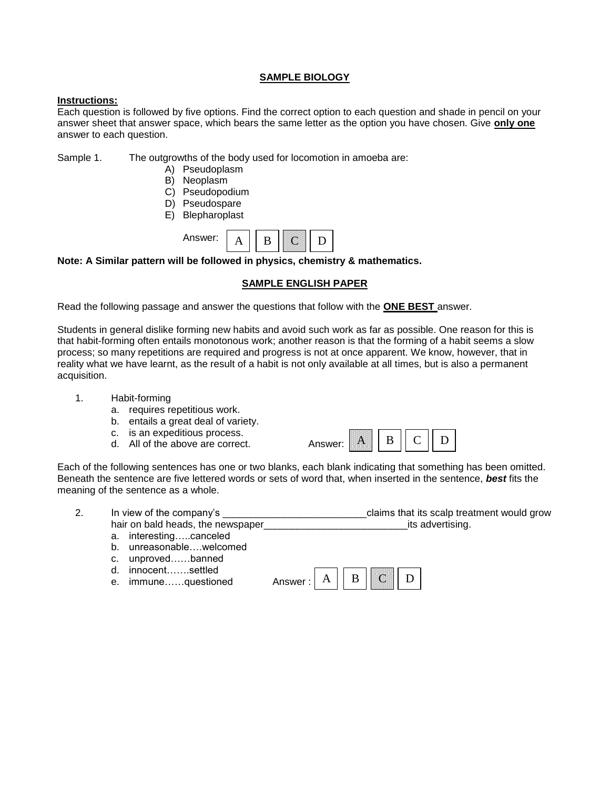### **SAMPLE BIOLOGY**

### **Instructions:**

Each question is followed by five options. Find the correct option to each question and shade in pencil on your answer sheet that answer space, which bears the same letter as the option you have chosen. Give **only one**  answer to each question.

Sample 1. The outgrowths of the body used for locomotion in amoeba are:

- A) Pseudoplasm
- B) Neoplasm
- C) Pseudopodium
- D) Pseudospare
- E) Blepharoplast



**Note: A Similar pattern will be followed in physics, chemistry & mathematics.**

### **SAMPLE ENGLISH PAPER**

Read the following passage and answer the questions that follow with the **ONE BEST** answer.

Students in general dislike forming new habits and avoid such work as far as possible. One reason for this is that habit-forming often entails monotonous work; another reason is that the forming of a habit seems a slow process; so many repetitions are required and progress is not at once apparent. We know, however, that in reality what we have learnt, as the result of a habit is not only available at all times, but is also a permanent acquisition.

- 1. Habit-forming
	- a. requires repetitious work.
	- b. entails a great deal of variety.
	- c. is an expeditious process.
	- d. All of the above are correct. Answer:



Each of the following sentences has one or two blanks, each blank indicating that something has been omitted. Beneath the sentence are five lettered words or sets of word that, when inserted in the sentence, *best* fits the meaning of the sentence as a whole.

| Ζ. | In view of the company's           | claims that its scalp treatment would grow |  |
|----|------------------------------------|--------------------------------------------|--|
|    | hair on bald heads, the newspaper_ | tts advertising.                           |  |

- a. interesting…..canceled
- b. unreasonable….welcomed
- c. unproved……banned
- d. innocent…….settled
- e. immune......questioned

| Answer · | - |  |  |  |
|----------|---|--|--|--|
|----------|---|--|--|--|